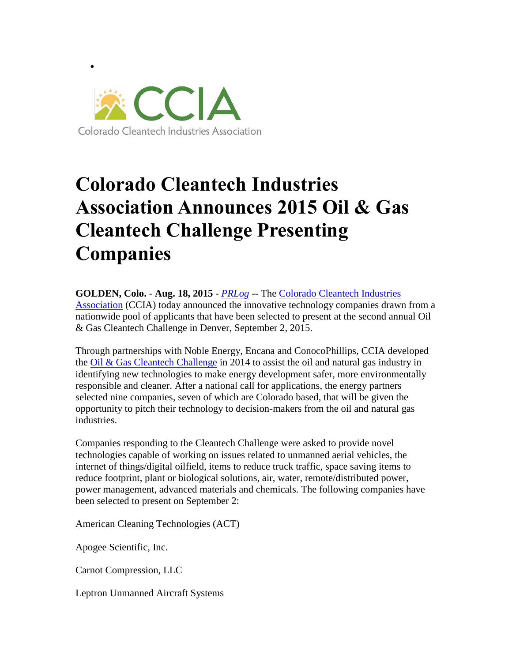

 $\bullet$ 

## **Colorado Cleantech Industries Association Announces 2015 Oil & Gas Cleantech Challenge Presenting Companies**

**GOLDEN, Colo.** - **Aug. 18, 2015** - *[PRLog](http://www.prlog.org/)* -- The [Colorado Cleantech Industries](http://www.coloradocleantech.com/)  [Association](http://www.coloradocleantech.com/) (CCIA) today announced the innovative technology companies drawn from a nationwide pool of applicants that have been selected to present at the second annual Oil & Gas Cleantech Challenge in Denver, September 2, 2015.

Through partnerships with Noble Energy, Encana and ConocoPhillips, CCIA developed the  $\frac{ceil \&}$  Gas Cleantech Challenge in 2014 to assist the oil and natural gas industry in identifying new technologies to make energy development safer, more environmentally responsible and cleaner. After a national call for applications, the energy partners selected nine companies, seven of which are Colorado based, that will be given the opportunity to pitch their technology to decision-makers from the oil and natural gas industries.

Companies responding to the Cleantech Challenge were asked to provide novel technologies capable of working on issues related to unmanned aerial vehicles, the internet of things/digital oilfield, items to reduce truck traffic, space saving items to reduce footprint, plant or biological solutions, air, water, remote/distributed power, power management, advanced materials and chemicals. The following companies have been selected to present on September 2:

American Cleaning Technologies (ACT)

Apogee Scientific, Inc.

Carnot Compression, LLC

Leptron Unmanned Aircraft Systems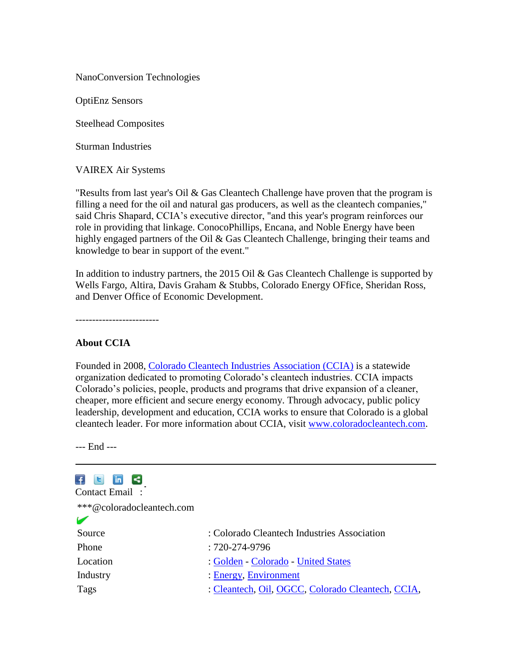NanoConversion Technologies

OptiEnz Sensors

Steelhead Composites

Sturman Industries

VAIREX Air Systems

"Results from last year's Oil & Gas Cleantech Challenge have proven that the program is filling a need for the oil and natural gas producers, as well as the cleantech companies," said Chris Shapard, CCIA's executive director, "and this year's program reinforces our role in providing that linkage. ConocoPhillips, Encana, and Noble Energy have been highly engaged partners of the Oil & Gas Cleantech Challenge, bringing their teams and knowledge to bear in support of the event."

In addition to industry partners, the 2015 Oil  $\&$  Gas Cleantech Challenge is supported by Wells Fargo, Altira, Davis Graham & Stubbs, Colorado Energy OFfice, Sheridan Ross, and Denver Office of Economic Development.

-------------------------

## **About CCIA**

Founded in 2008, [Colorado Cleantech Industries Association \(CCIA\)](http://www.coloradocleantech.com/) is a statewide organization dedicated to promoting Colorado's cleantech industries. CCIA impacts Colorado's policies, people, products and programs that drive expansion of a cleaner, cheaper, more efficient and secure energy economy. Through advocacy, public policy leadership, development and education, CCIA works to ensure that Colorado is a global cleantech leader. For more information about CCIA, visit [www.coloradocleantech.com.](http://www.coloradocleantech.com/)

--- End ---

## $\top$   $\Box$  in  $\leq$

| Contact Email:            |                                                   |
|---------------------------|---------------------------------------------------|
| ***@coloradocleantech.com |                                                   |
|                           |                                                   |
| Source                    | : Colorado Cleantech Industries Association       |
| Phone                     | $:720-274-9796$                                   |
| Location                  | : Golden - Colorado - United States               |
| Industry                  | : Energy, Environment                             |
| Tags                      | : Cleantech, Oil, OGCC, Colorado Cleantech, CCIA, |